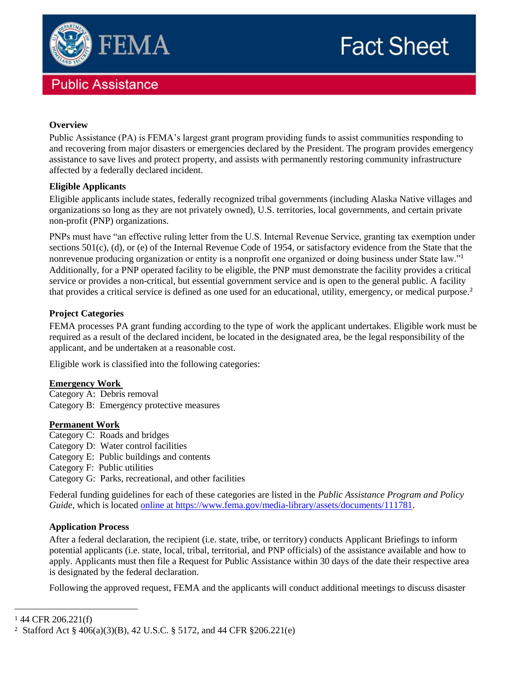

# **Public Assistance**

# **Fact Sheet**

## **Overview**

Public Assistance (PA) is FEMA's largest grant program providing funds to assist communities responding to and recovering from major disasters or emergencies declared by the President. The program provides emergency assistance to save lives and protect property, and assists with permanently restoring community infrastructure affected by a federally declared incident.

### **Eligible Applicants**

Eligible applicants include states, federally recognized tribal governments (including Alaska Native villages and organizations so long as they are not privately owned), U.S. territories, local governments, and certain private non-profit (PNP) organizations.

PNPs must have "an effective ruling letter from the U.S. Internal Revenue Service, granting tax exemption under sections 501(c), (d), or (e) of the Internal Revenue Code of 1954, or satisfactory evidence from the State that the nonrevenue producing organization or entity is a nonprofit one organized or doing business under State law."<sup>1</sup> Additionally, for a PNP operated facility to be eligible, the PNP must demonstrate the facility provides a critical service or provides a non-critical, but essential government service and is open to the general public. A facility that provides a critical service is defined as one used for an educational, utility, emergency, or medical purpose.<sup>2</sup>

### **Project Categories**

FEMA processes PA grant funding according to the type of work the applicant undertakes. Eligible work must be required as a result of the declared incident, be located in the designated area, be the legal responsibility of the applicant, and be undertaken at a reasonable cost.

Eligible work is classified into the following categories:

### **Emergency Work**

Category A: Debris removal Category B: Emergency protective measures

#### **Permanent Work**

- Category C: Roads and bridges Category D: Water control facilities Category E: Public buildings and contents
- Category F: Public utilities
- Category G: Parks, recreational, and other facilities

Federal funding guidelines for each of these categories are listed in the *Public Assistance Program and Policy Guide*, which is located [online at https://www.fema.gov/media-library/assets/documents/111781.](https://www.fema.gov/media-library/assets/documents/111781)

### **Application Process**

After a federal declaration, the recipient (i.e. state, tribe, or territory) conducts Applicant Briefings to inform potential applicants (i.e. state, local, tribal, territorial, and PNP officials) of the assistance available and how to apply. Applicants must then file a Request for Public Assistance within 30 days of the date their respective area is designated by the federal declaration.

Following the approved request, FEMA and the applicants will conduct additional meetings to discuss disaster

 $\overline{a}$ 

<sup>1</sup> 44 CFR 206.221(f)

<sup>2</sup> Stafford Act § 406(a)(3)(B), 42 U.S.C. § 5172, and 44 CFR §206.221(e)